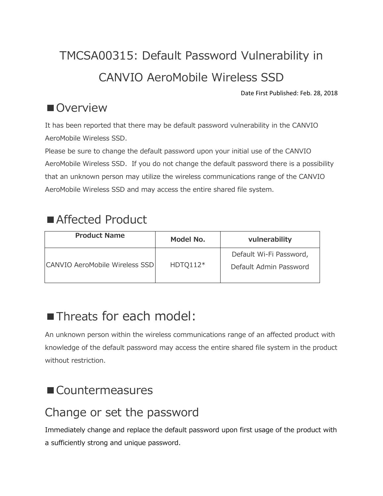# TMCSA00315: Default Password Vulnerability in CANVIO AeroMobile Wireless SSD

Date First Published: Feb. 28, 2018

#### ■Overview

It has been reported that there may be default password vulnerability in the CANVIO AeroMobile Wireless SSD.

Please be sure to change the default password upon your initial use of the CANVIO AeroMobile Wireless SSD. If you do not change the default password there is a possibility that an unknown person may utilize the wireless communications range of the CANVIO AeroMobile Wireless SSD and may access the entire shared file system.

# ■ Affected Product

| <b>Product Name</b>            | Model No.  | vulnerability                                     |
|--------------------------------|------------|---------------------------------------------------|
| CANVIO AeroMobile Wireless SSD | $HDTO112*$ | Default Wi-Fi Password,<br>Default Admin Password |

# ■Threats for each model:

An unknown person within the wireless communications range of an affected product with knowledge of the default password may access the entire shared file system in the product without restriction.

# ■ Countermeasures

# Change or set the password

Immediately change and replace the default password upon first usage of the product with a sufficiently strong and unique password.